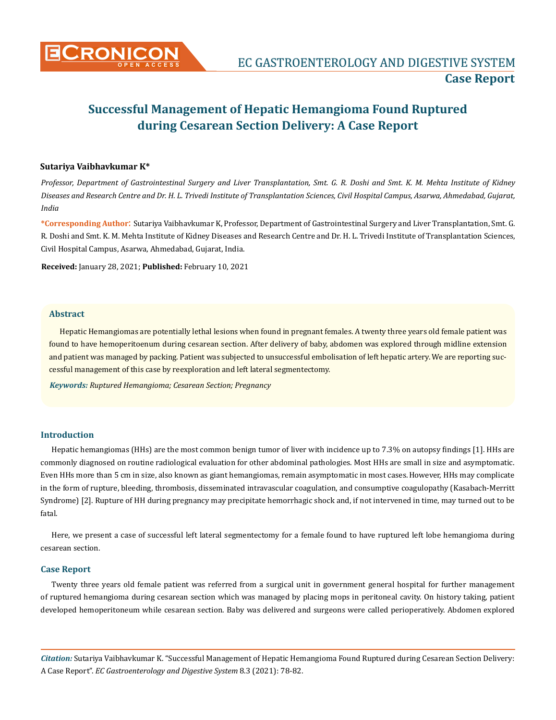

# **Successful Management of Hepatic Hemangioma Found Ruptured during Cesarean Section Delivery: A Case Report**

## **Sutariya Vaibhavkumar K\***

*Professor, Department of Gastrointestinal Surgery and Liver Transplantation, Smt. G. R. Doshi and Smt. K. M. Mehta Institute of Kidney Diseases and Research Centre and Dr. H. L. Trivedi Institute of Transplantation Sciences, Civil Hospital Campus, Asarwa, Ahmedabad, Gujarat, India*

**\*Corresponding Author**: Sutariya Vaibhavkumar K, Professor, Department of Gastrointestinal Surgery and Liver Transplantation, Smt. G. R. Doshi and Smt. K. M. Mehta Institute of Kidney Diseases and Research Centre and Dr. H. L. Trivedi Institute of Transplantation Sciences, Civil Hospital Campus, Asarwa, Ahmedabad, Gujarat, India.

**Received:** January 28, 2021; **Published:** February 10, 2021

#### **Abstract**

Hepatic Hemangiomas are potentially lethal lesions when found in pregnant females. A twenty three years old female patient was found to have hemoperitoenum during cesarean section. After delivery of baby, abdomen was explored through midline extension and patient was managed by packing. Patient was subjected to unsuccessful embolisation of left hepatic artery. We are reporting successful management of this case by reexploration and left lateral segmentectomy.

*Keywords: Ruptured Hemangioma; Cesarean Section; Pregnancy*

# **Introduction**

Hepatic hemangiomas (HHs) are the most common benign tumor of liver with incidence up to 7.3% on autopsy findings [1]. HHs are commonly diagnosed on routine radiological evaluation for other abdominal pathologies. Most HHs are small in size and asymptomatic. Even HHs more than 5 cm in size, also known as giant hemangiomas, remain asymptomatic in most cases.However, HHs may complicate in the form of rupture, bleeding, thrombosis, disseminated intravascular coagulation, and consumptive coagulopathy (Kasabach-Merritt Syndrome) [2]. Rupture of HH during pregnancy may precipitate hemorrhagic shock and, if not intervened in time, may turned out to be fatal.

Here, we present a case of successful left lateral segmentectomy for a female found to have ruptured left lobe hemangioma during cesarean section.

## **Case Report**

Twenty three years old female patient was referred from a surgical unit in government general hospital for further management of ruptured hemangioma during cesarean section which was managed by placing mops in peritoneal cavity. On history taking, patient developed hemoperitoneum while cesarean section. Baby was delivered and surgeons were called perioperatively. Abdomen explored

*Citation:* Sutariya Vaibhavkumar K. "Successful Management of Hepatic Hemangioma Found Ruptured during Cesarean Section Delivery: A Case Report". *EC Gastroenterology and Digestive System* 8.3 (2021): 78-82.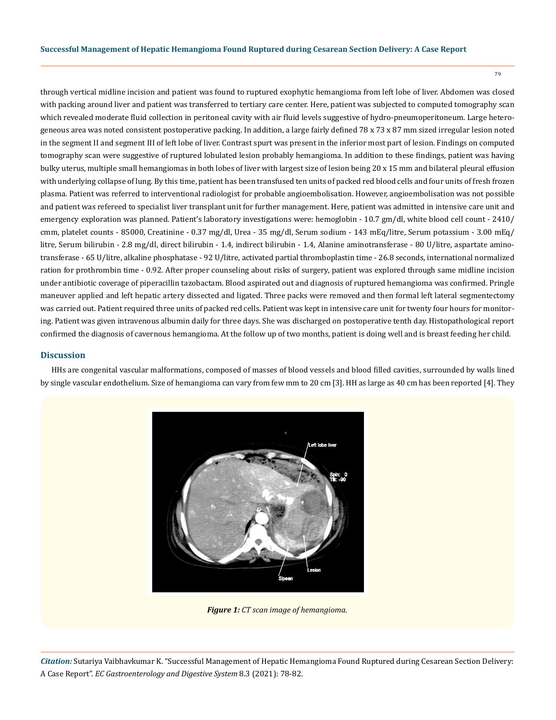79

through vertical midline incision and patient was found to ruptured exophytic hemangioma from left lobe of liver. Abdomen was closed with packing around liver and patient was transferred to tertiary care center. Here, patient was subjected to computed tomography scan which revealed moderate fluid collection in peritoneal cavity with air fluid levels suggestive of hydro-pneumoperitoneum. Large heterogeneous area was noted consistent postoperative packing. In addition, a large fairly defined 78 x 73 x 87 mm sized irregular lesion noted in the segment II and segment III of left lobe of liver. Contrast spurt was present in the inferior most part of lesion. Findings on computed tomography scan were suggestive of ruptured lobulated lesion probably hemangioma. In addition to these findings, patient was having bulky uterus, multiple small hemangiomas in both lobes of liver with largest size of lesion being 20 x 15 mm and bilateral pleural effusion with underlying collapse of lung. By this time, patient has been transfused ten units of packed red blood cells and four units of fresh frozen plasma. Patient was referred to interventional radiologist for probable angioembolisation. However, angioembolisation was not possible and patient was refereed to specialist liver transplant unit for further management. Here, patient was admitted in intensive care unit and emergency exploration was planned. Patient's laboratory investigations were: hemoglobin - 10.7 gm/dl, white blood cell count - 2410/ cmm, platelet counts - 85000, Creatinine - 0.37 mg/dl, Urea - 35 mg/dl, Serum sodium - 143 mEq/litre, Serum potassium - 3.00 mEq/ litre, Serum bilirubin - 2.8 mg/dl, direct bilirubin - 1.4, indirect bilirubin - 1.4, Alanine aminotransferase - 80 U/litre, aspartate aminotransferase - 65 U/litre, alkaline phosphatase - 92 U/litre, activated partial thromboplastin time - 26.8 seconds, international normalized ration for prothrombin time - 0.92. After proper counseling about risks of surgery, patient was explored through same midline incision under antibiotic coverage of piperacillin tazobactam. Blood aspirated out and diagnosis of ruptured hemangioma was confirmed. Pringle maneuver applied and left hepatic artery dissected and ligated. Three packs were removed and then formal left lateral segmentectomy was carried out. Patient required three units of packed red cells. Patient was kept in intensive care unit for twenty four hours for monitoring. Patient was given intravenous albumin daily for three days. She was discharged on postoperative tenth day. Histopathological report confirmed the diagnosis of cavernous hemangioma. At the follow up of two months, patient is doing well and is breast feeding her child.

# **Discussion**

HHs are congenital vascular malformations, composed of masses of blood vessels and blood filled cavities, surrounded by walls lined by single vascular endothelium. Size of hemangioma can vary from few mm to 20 cm [3]. HH as large as 40 cm has been reported [4]. They



*Figure 1: CT scan image of hemangioma.*

*Citation:* Sutariya Vaibhavkumar K. "Successful Management of Hepatic Hemangioma Found Ruptured during Cesarean Section Delivery: A Case Report". *EC Gastroenterology and Digestive System* 8.3 (2021): 78-82.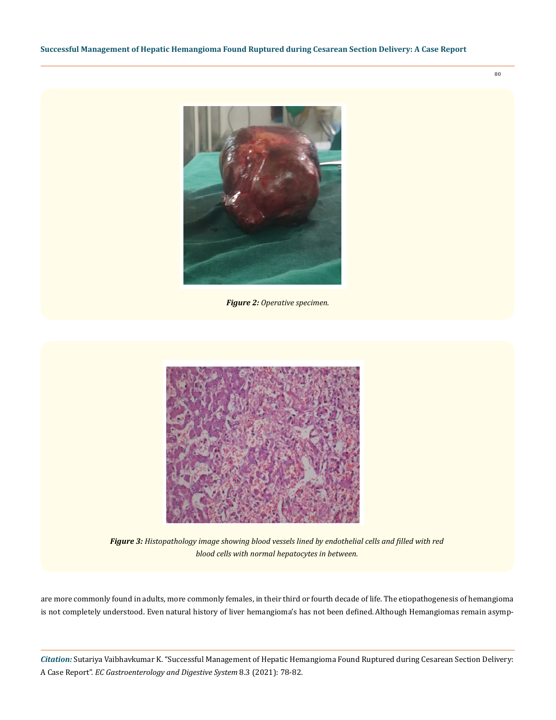

*Figure 2: Operative specimen.*



*Figure 3: Histopathology image showing blood vessels lined by endothelial cells and filled with red blood cells with normal hepatocytes in between.*

are more commonly found in adults, more commonly females, in their third or fourth decade of life. The etiopathogenesis of hemangioma is not completely understood. Even natural history of liver hemangioma's has not been defined.Although Hemangiomas remain asymp-

*Citation:* Sutariya Vaibhavkumar K. "Successful Management of Hepatic Hemangioma Found Ruptured during Cesarean Section Delivery: A Case Report". *EC Gastroenterology and Digestive System* 8.3 (2021): 78-82.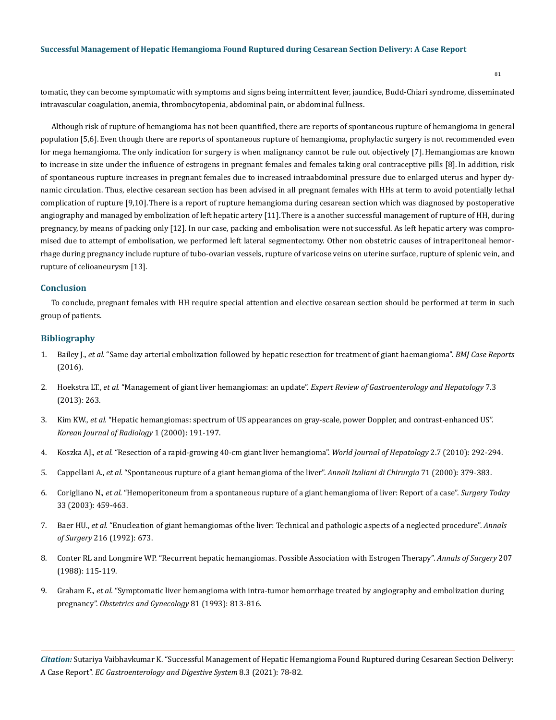tomatic, they can become symptomatic with symptoms and signs being intermittent fever, jaundice, Budd-Chiari syndrome, disseminated intravascular coagulation, anemia, thrombocytopenia, abdominal pain, or abdominal fullness.

Although risk of rupture of hemangioma has not been quantified, there are reports of spontaneous rupture of hemangioma in general population [5,6].Even though there are reports of spontaneous rupture of hemangioma, prophylactic surgery is not recommended even for mega hemangioma. The only indication for surgery is when malignancy cannot be rule out objectively [7].Hemangiomas are known to increase in size under the influence of estrogens in pregnant females and females taking oral contraceptive pills [8].In addition, risk of spontaneous rupture increases in pregnant females due to increased intraabdominal pressure due to enlarged uterus and hyper dynamic circulation. Thus, elective cesarean section has been advised in all pregnant females with HHs at term to avoid potentially lethal complication of rupture [9,10].There is a report of rupture hemangioma during cesarean section which was diagnosed by postoperative angiography and managed by embolization of left hepatic artery [11].There is a another successful management of rupture of HH, during pregnancy, by means of packing only [12]. In our case, packing and embolisation were not successful. As left hepatic artery was compromised due to attempt of embolisation, we performed left lateral segmentectomy. Other non obstetric causes of intraperitoneal hemorrhage during pregnancy include rupture of tubo-ovarian vessels, rupture of varicose veins on uterine surface, rupture of splenic vein, and rupture of celioaneurysm [13].

### **Conclusion**

To conclude, pregnant females with HH require special attention and elective cesarean section should be performed at term in such group of patients.

### **Bibliography**

- 1. Bailey J., *et al.* ["Same day arterial embolization followed by hepatic resection for treatment of giant haemangioma".](https://www.ncbi.nlm.nih.gov/pmc/articles/PMC4769450/) *BMJ Case Reports* [\(2016\).](https://www.ncbi.nlm.nih.gov/pmc/articles/PMC4769450/)
- 2. Hoekstra LT., *et al.* "Management of giant liver hemangiomas: an update". *[Expert Review of Gastroenterology and Hepatology](https://pubmed.ncbi.nlm.nih.gov/23445235/)* 7.3 [\(2013\): 263.](https://pubmed.ncbi.nlm.nih.gov/23445235/)
- 3. Kim KW., *et al.* ["Hepatic hemangiomas: spectrum of US appearances on gray-scale, power Doppler, and contrast-enhanced US".](https://www.ncbi.nlm.nih.gov/pmc/articles/PMC2718200/)  *[Korean Journal of Radiology](https://www.ncbi.nlm.nih.gov/pmc/articles/PMC2718200/)* 1 (2000): 191-197.
- 4. Koszka AJ., *et al.* ["Resection of a rapid-growing 40-cm giant liver hemangioma".](https://www.ncbi.nlm.nih.gov/pmc/articles/PMC2999292/) *World Journal of Hepatology* 2.7 (2010): 292-294.
- 5. Cappellani A., *et al.* ["Spontaneous rupture of a giant hemangioma of the liver".](https://www.ncbi.nlm.nih.gov/pmc/articles/PMC3016500/) *Annali Italiani di Chirurgia* 71 (2000): 379-383.
- 6. Corigliano N., *et al.* ["Hemoperitoneum from a spontaneous rupture of a giant hemangioma of liver: Report of a case".](https://pubmed.ncbi.nlm.nih.gov/12768374/) *Surgery Today*  [33 \(2003\): 459-463.](https://pubmed.ncbi.nlm.nih.gov/12768374/)
- 7. Baer HU., *et al.* ["Enucleation of giant hemangiomas of the liver: Technical and pathologic aspects of a neglected procedure".](https://www.ncbi.nlm.nih.gov/pmc/articles/PMC1242714/) *Annals of Surgery* [216 \(1992\): 673.](https://www.ncbi.nlm.nih.gov/pmc/articles/PMC1242714/)
- 8. [Conter RL and Longmire WP. "Recurrent hepatic hemangiomas. Possible Association with Estrogen Therapy".](https://pubmed.ncbi.nlm.nih.gov/2829759/) *Annals of Surgery* 207 [\(1988\): 115-119.](https://pubmed.ncbi.nlm.nih.gov/2829759/)
- 9. Graham E., *et al.* ["Symptomatic liver hemangioma with intra-tumor hemorrhage treated by angiography and embolization during](https://pubmed.ncbi.nlm.nih.gov/8469482/)  pregnancy". *[Obstetrics and Gynecology](https://pubmed.ncbi.nlm.nih.gov/8469482/)* 81 (1993): 813-816.

*Citation:* Sutariya Vaibhavkumar K. "Successful Management of Hepatic Hemangioma Found Ruptured during Cesarean Section Delivery: A Case Report". *EC Gastroenterology and Digestive System* 8.3 (2021): 78-82.

81